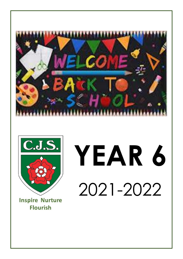



# **YEAR 6** 2021-2022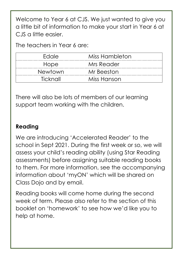Welcome to Year 6 at CJS. We just wanted to give you a little bit of information to make your start in Year 6 at CJS a little easier.

The teachers in Year 6 are:

| <b>F</b> dale  | Miss Hambleton |  |
|----------------|----------------|--|
| Hope           | Mrs Reader     |  |
| <b>Newtown</b> | Mr Beeston     |  |
| Ticknall       | Miss Hanson    |  |

There will also be lots of members of our learning support team working with the children.

#### **Reading**

We are introducing 'Accelerated Reader' to the school in Sept 2021. During the first week or so, we will assess your child's reading ability (using Star Reading assessments) before assigning suitable reading books to them. For more information, see the accompanying information about 'myON' which will be shared on Class Dojo and by email.

Reading books will come home during the second week of term. Please also refer to the section of this booklet on 'homework' to see how we'd like you to help at home.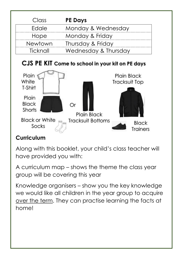| Class    | <b>PE Days</b>       |
|----------|----------------------|
| Edale    | Monday & Wednesday   |
| Hope     | Monday & Friday      |
| Newtown  | Thursday & Friday    |
| Ticknall | Wednesday & Thursday |

# CJS PE KIT Come to school in your kit on PE days



## **Curriculum**

Along with this booklet, your child's class teacher will have provided you with:

A curriculum map – shows the theme the class year group will be covering this year

Knowledge organisers – show you the key knowledge we would like all children in the year group to acquire over the term. They can practise learning the facts at home!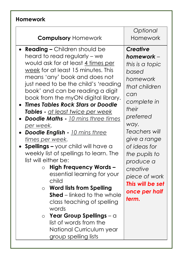# **Homework**

| <b>Compulsory Homework</b>                                                                                                                                                                                                                                                                                                                                                                                                                                                                                                                                                                                                                                                                                                                                                                                                                                                                                                                                                | Optional<br>Homework                                                                                                                                                                                                                                                                                   |
|---------------------------------------------------------------------------------------------------------------------------------------------------------------------------------------------------------------------------------------------------------------------------------------------------------------------------------------------------------------------------------------------------------------------------------------------------------------------------------------------------------------------------------------------------------------------------------------------------------------------------------------------------------------------------------------------------------------------------------------------------------------------------------------------------------------------------------------------------------------------------------------------------------------------------------------------------------------------------|--------------------------------------------------------------------------------------------------------------------------------------------------------------------------------------------------------------------------------------------------------------------------------------------------------|
| <b>Reading - Children should be</b><br>heard to read regularly – we<br>would ask for at least 4 times per<br>week for at least 15 minutes. This<br>means 'any' book and does not<br>just need to be the child's 'reading<br>book' and can be reading a digit<br>book from the myON digital library.<br><b>Times Tables Rock Stars or Doodle</b><br>Tables - at least twice per week<br><b>Doodle Maths - 10 mins three times</b><br><u>per week</u> .<br><b>Doodle English - 10 mins three</b><br>times per week.<br><b>Spellings - your child will have a</b><br>weekly list of spellings to learn. The<br>list will either be:<br><b>High Frequency Words -</b><br>$\circ$<br>essential learning for your<br>child<br><b>Word lists from Spelling</b><br>$\circ$<br><b>Shed</b> – linked to the whole<br>class teaching of spelling<br>words<br>Year Group Spellings $-\alpha$<br>$\circ$<br>list of words from the<br>National Curriculum year<br>group spelling lists | <b>Creative</b><br>homework $-$<br>this is a topic<br>based<br>homework<br>that children<br>can<br>complete in<br>their<br>preferred<br>way.<br>Teachers will<br>give a range<br>of ideas for<br>the pupils to<br>produce a<br>creative<br>piece of work<br>This will be set<br>once per half<br>term. |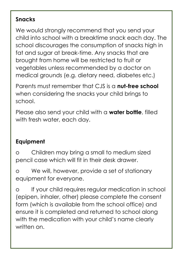### **Snacks**

We would strongly recommend that you send your child into school with a breaktime snack each day. The school discourages the consumption of snacks high in fat and sugar at break-time. Any snacks that are brought from home will be restricted to fruit or vegetables unless recommended by a doctor on medical grounds (e.g. dietary need, diabetes etc.)

Parents must remember that CJS is a **nut-free school** when considering the snacks your child brings to school.

Please also send your child with a **water bottle**, filled with fresh water, each day.

# **Equipment**

o Children may bring a small to medium sized pencil case which will fit in their desk drawer.

o We will, however, provide a set of stationary equipment for everyone.

o If your child requires regular medication in school (epipen, inhaler, other) please complete the consent form (which is available from the school office) and ensure it is completed and returned to school along with the medication with your child's name clearly written on.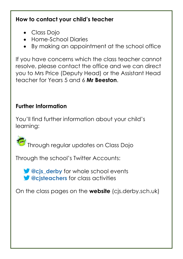## **How to contact your child's teacher**

- Class Dojo
- Home-School Diaries
- By making an appointment at the school office

If you have concerns which the class teacher cannot resolve, please contact the office and we can direct you to Mrs Price (Deputy Head) or the Assistant Head teacher for Years 5 and 6 **Mr Beeston**.

# **Further Information**

You'll find further information about your child's learning:

Through regular updates on Class Dojo

Through the school's Twitter Accounts:

*C* exists derby for whole school events *S* @cisteachers for class activities

On the class pages on the **website** (cjs.derby.sch.uk)